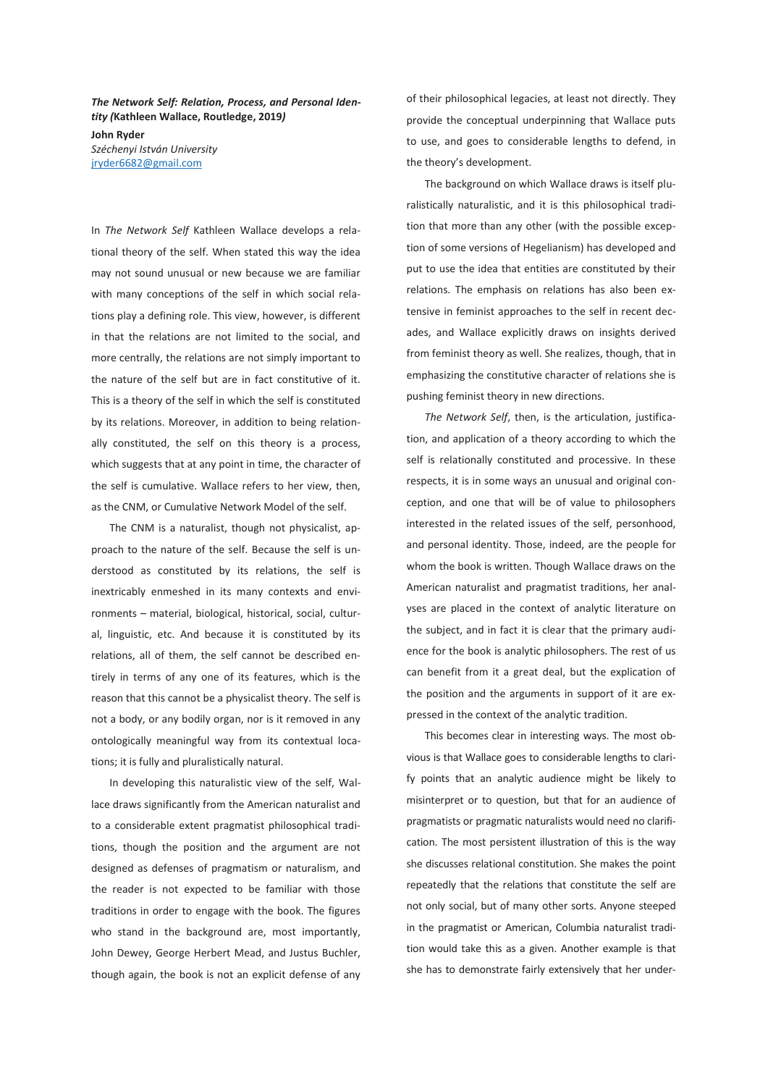*The Network Self: Relation, Process, and Personal Identity (***Kathleen Wallace, Routledge, 2019***)*  **John Ryder**  *Széchenyi István University*  jryder6682@gmail.com

In *The Network Self* Kathleen Wallace develops a relational theory of the self. When stated this way the idea may not sound unusual or new because we are familiar with many conceptions of the self in which social relations play a defining role. This view, however, is different in that the relations are not limited to the social, and more centrally, the relations are not simply important to the nature of the self but are in fact constitutive of it. This is a theory of the self in which the self is constituted by its relations. Moreover, in addition to being relationally constituted, the self on this theory is a process, which suggests that at any point in time, the character of the self is cumulative. Wallace refers to her view, then, as the CNM, or Cumulative Network Model of the self.

The CNM is a naturalist, though not physicalist, approach to the nature of the self. Because the self is understood as constituted by its relations, the self is inextricably enmeshed in its many contexts and environments – material, biological, historical, social, cultural, linguistic, etc. And because it is constituted by its relations, all of them, the self cannot be described entirely in terms of any one of its features, which is the reason that this cannot be a physicalist theory. The self is not a body, or any bodily organ, nor is it removed in any ontologically meaningful way from its contextual locations; it is fully and pluralistically natural.

In developing this naturalistic view of the self, Wallace draws significantly from the American naturalist and to a considerable extent pragmatist philosophical traditions, though the position and the argument are not designed as defenses of pragmatism or naturalism, and the reader is not expected to be familiar with those traditions in order to engage with the book. The figures who stand in the background are, most importantly, John Dewey, George Herbert Mead, and Justus Buchler, though again, the book is not an explicit defense of any of their philosophical legacies, at least not directly. They provide the conceptual underpinning that Wallace puts to use, and goes to considerable lengths to defend, in the theory's development.

The background on which Wallace draws is itself pluralistically naturalistic, and it is this philosophical tradition that more than any other (with the possible exception of some versions of Hegelianism) has developed and put to use the idea that entities are constituted by their relations. The emphasis on relations has also been extensive in feminist approaches to the self in recent decades, and Wallace explicitly draws on insights derived from feminist theory as well. She realizes, though, that in emphasizing the constitutive character of relations she is pushing feminist theory in new directions.

*The Network Self*, then, is the articulation, justification, and application of a theory according to which the self is relationally constituted and processive. In these respects, it is in some ways an unusual and original conception, and one that will be of value to philosophers interested in the related issues of the self, personhood, and personal identity. Those, indeed, are the people for whom the book is written. Though Wallace draws on the American naturalist and pragmatist traditions, her analyses are placed in the context of analytic literature on the subject, and in fact it is clear that the primary audience for the book is analytic philosophers. The rest of us can benefit from it a great deal, but the explication of the position and the arguments in support of it are expressed in the context of the analytic tradition.

This becomes clear in interesting ways. The most obvious is that Wallace goes to considerable lengths to clarify points that an analytic audience might be likely to misinterpret or to question, but that for an audience of pragmatists or pragmatic naturalists would need no clarification. The most persistent illustration of this is the way she discusses relational constitution. She makes the point repeatedly that the relations that constitute the self are not only social, but of many other sorts. Anyone steeped in the pragmatist or American, Columbia naturalist tradition would take this as a given. Another example is that she has to demonstrate fairly extensively that her under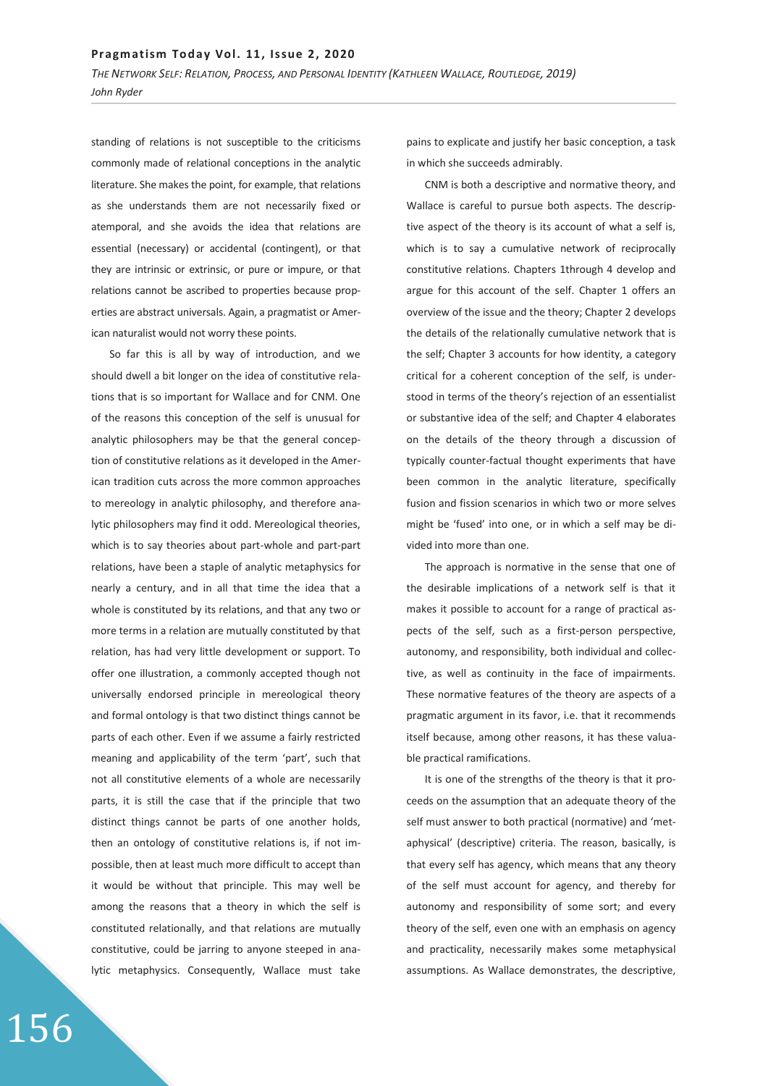*THE NETWORK SELF: RELATION, PROCESS, AND PERSONAL IDENTITY (KATHLEEN WALLACE, ROUTLEDGE, 2019) John Ryder* 

standing of relations is not susceptible to the criticisms commonly made of relational conceptions in the analytic literature. She makes the point, for example, that relations as she understands them are not necessarily fixed or atemporal, and she avoids the idea that relations are essential (necessary) or accidental (contingent), or that they are intrinsic or extrinsic, or pure or impure, or that relations cannot be ascribed to properties because properties are abstract universals. Again, a pragmatist or American naturalist would not worry these points.

So far this is all by way of introduction, and we should dwell a bit longer on the idea of constitutive relations that is so important for Wallace and for CNM. One of the reasons this conception of the self is unusual for analytic philosophers may be that the general conception of constitutive relations as it developed in the American tradition cuts across the more common approaches to mereology in analytic philosophy, and therefore analytic philosophers may find it odd. Mereological theories, which is to say theories about part-whole and part-part relations, have been a staple of analytic metaphysics for nearly a century, and in all that time the idea that a whole is constituted by its relations, and that any two or more terms in a relation are mutually constituted by that relation, has had very little development or support. To offer one illustration, a commonly accepted though not universally endorsed principle in mereological theory and formal ontology is that two distinct things cannot be parts of each other. Even if we assume a fairly restricted meaning and applicability of the term 'part', such that not all constitutive elements of a whole are necessarily parts, it is still the case that if the principle that two distinct things cannot be parts of one another holds, then an ontology of constitutive relations is, if not impossible, then at least much more difficult to accept than it would be without that principle. This may well be among the reasons that a theory in which the self is constituted relationally, and that relations are mutually constitutive, could be jarring to anyone steeped in analytic metaphysics. Consequently, Wallace must take

pains to explicate and justify her basic conception, a task in which she succeeds admirably.

CNM is both a descriptive and normative theory, and Wallace is careful to pursue both aspects. The descriptive aspect of the theory is its account of what a self is, which is to say a cumulative network of reciprocally constitutive relations. Chapters 1through 4 develop and argue for this account of the self. Chapter 1 offers an overview of the issue and the theory; Chapter 2 develops the details of the relationally cumulative network that is the self; Chapter 3 accounts for how identity, a category critical for a coherent conception of the self, is understood in terms of the theory's rejection of an essentialist or substantive idea of the self; and Chapter 4 elaborates on the details of the theory through a discussion of typically counter-factual thought experiments that have been common in the analytic literature, specifically fusion and fission scenarios in which two or more selves might be 'fused' into one, or in which a self may be divided into more than one.

The approach is normative in the sense that one of the desirable implications of a network self is that it makes it possible to account for a range of practical aspects of the self, such as a first-person perspective, autonomy, and responsibility, both individual and collective, as well as continuity in the face of impairments. These normative features of the theory are aspects of a pragmatic argument in its favor, i.e. that it recommends itself because, among other reasons, it has these valuable practical ramifications.

It is one of the strengths of the theory is that it proceeds on the assumption that an adequate theory of the self must answer to both practical (normative) and 'metaphysical' (descriptive) criteria. The reason, basically, is that every self has agency, which means that any theory of the self must account for agency, and thereby for autonomy and responsibility of some sort; and every theory of the self, even one with an emphasis on agency and practicality, necessarily makes some metaphysical assumptions. As Wallace demonstrates, the descriptive,

156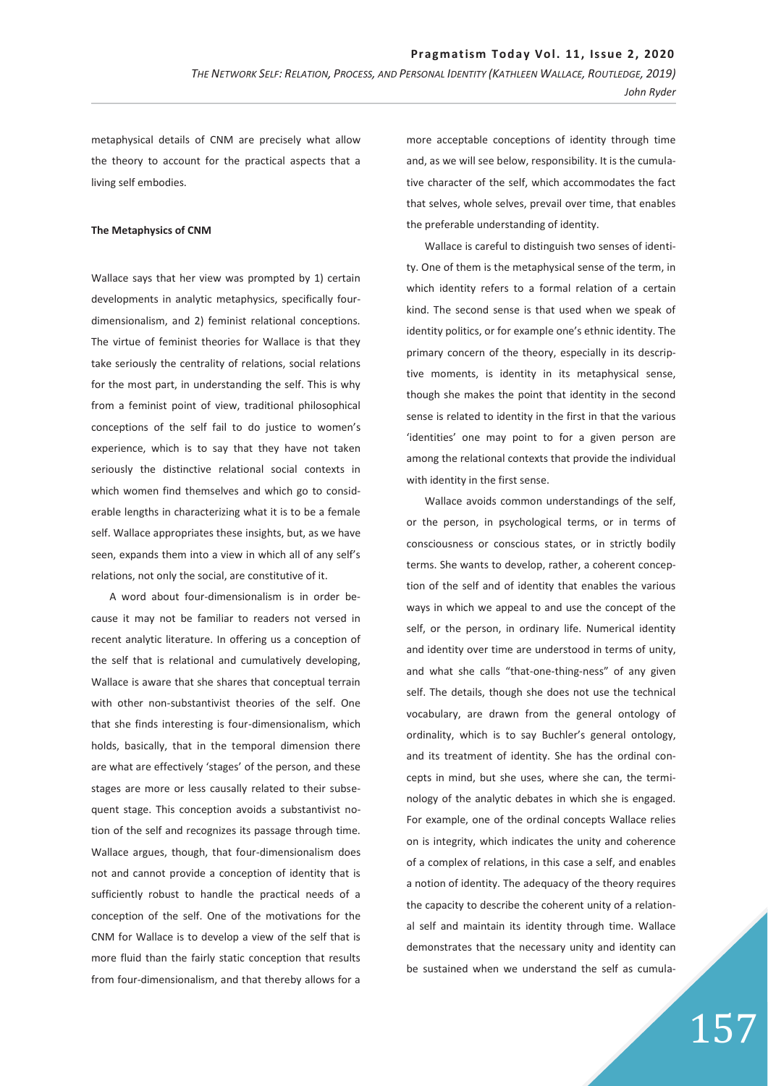metaphysical details of CNM are precisely what allow the theory to account for the practical aspects that a living self embodies.

## **The Metaphysics of CNM**

Wallace says that her view was prompted by 1) certain developments in analytic metaphysics, specifically fourdimensionalism, and 2) feminist relational conceptions. The virtue of feminist theories for Wallace is that they take seriously the centrality of relations, social relations for the most part, in understanding the self. This is why from a feminist point of view, traditional philosophical conceptions of the self fail to do justice to women's experience, which is to say that they have not taken seriously the distinctive relational social contexts in which women find themselves and which go to considerable lengths in characterizing what it is to be a female self. Wallace appropriates these insights, but, as we have seen, expands them into a view in which all of any self's relations, not only the social, are constitutive of it.

A word about four-dimensionalism is in order because it may not be familiar to readers not versed in recent analytic literature. In offering us a conception of the self that is relational and cumulatively developing, Wallace is aware that she shares that conceptual terrain with other non-substantivist theories of the self. One that she finds interesting is four-dimensionalism, which holds, basically, that in the temporal dimension there are what are effectively 'stages' of the person, and these stages are more or less causally related to their subsequent stage. This conception avoids a substantivist notion of the self and recognizes its passage through time. Wallace argues, though, that four-dimensionalism does not and cannot provide a conception of identity that is sufficiently robust to handle the practical needs of a conception of the self. One of the motivations for the CNM for Wallace is to develop a view of the self that is more fluid than the fairly static conception that results from four-dimensionalism, and that thereby allows for a

more acceptable conceptions of identity through time and, as we will see below, responsibility. It is the cumulative character of the self, which accommodates the fact that selves, whole selves, prevail over time, that enables the preferable understanding of identity.

Wallace is careful to distinguish two senses of identity. One of them is the metaphysical sense of the term, in which identity refers to a formal relation of a certain kind. The second sense is that used when we speak of identity politics, or for example one's ethnic identity. The primary concern of the theory, especially in its descriptive moments, is identity in its metaphysical sense, though she makes the point that identity in the second sense is related to identity in the first in that the various 'identities' one may point to for a given person are among the relational contexts that provide the individual with identity in the first sense.

Wallace avoids common understandings of the self, or the person, in psychological terms, or in terms of consciousness or conscious states, or in strictly bodily terms. She wants to develop, rather, a coherent conception of the self and of identity that enables the various ways in which we appeal to and use the concept of the self, or the person, in ordinary life. Numerical identity and identity over time are understood in terms of unity, and what she calls "that-one-thing-ness" of any given self. The details, though she does not use the technical vocabulary, are drawn from the general ontology of ordinality, which is to say Buchler's general ontology, and its treatment of identity. She has the ordinal concepts in mind, but she uses, where she can, the terminology of the analytic debates in which she is engaged. For example, one of the ordinal concepts Wallace relies on is integrity, which indicates the unity and coherence of a complex of relations, in this case a self, and enables a notion of identity. The adequacy of the theory requires the capacity to describe the coherent unity of a relational self and maintain its identity through time. Wallace demonstrates that the necessary unity and identity can be sustained when we understand the self as cumula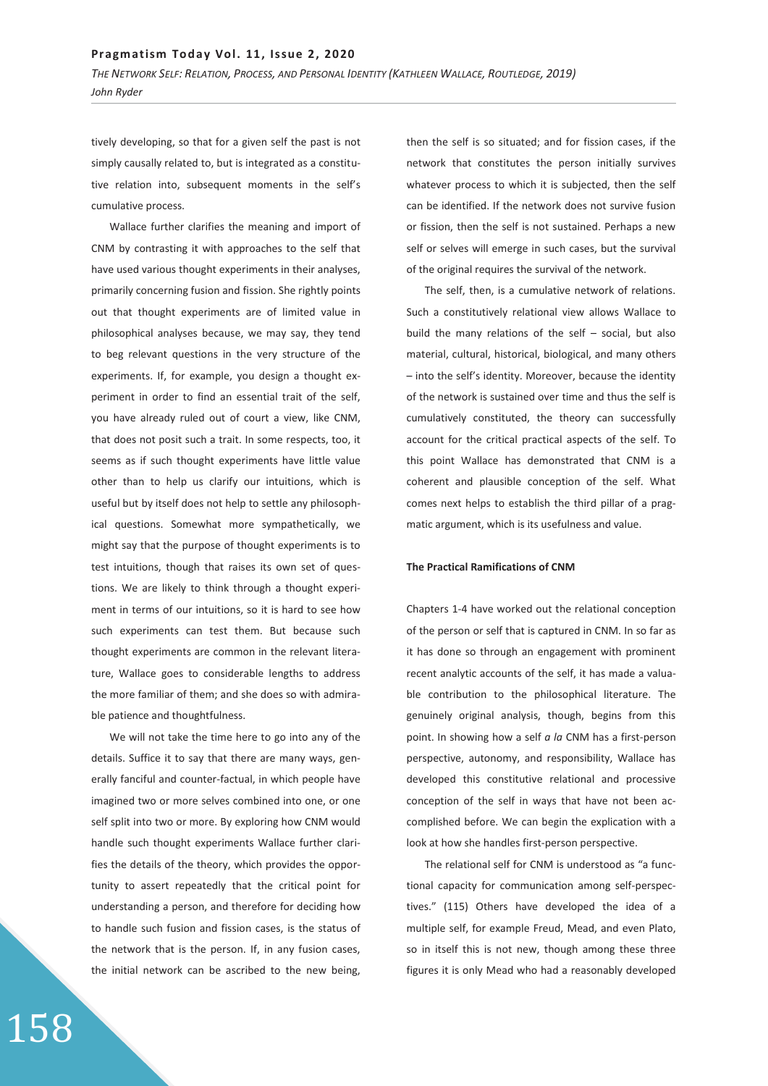tively developing, so that for a given self the past is not simply causally related to, but is integrated as a constitutive relation into, subsequent moments in the self's cumulative process.

Wallace further clarifies the meaning and import of CNM by contrasting it with approaches to the self that have used various thought experiments in their analyses, primarily concerning fusion and fission. She rightly points out that thought experiments are of limited value in philosophical analyses because, we may say, they tend to beg relevant questions in the very structure of the experiments. If, for example, you design a thought experiment in order to find an essential trait of the self, you have already ruled out of court a view, like CNM, that does not posit such a trait. In some respects, too, it seems as if such thought experiments have little value other than to help us clarify our intuitions, which is useful but by itself does not help to settle any philosophical questions. Somewhat more sympathetically, we might say that the purpose of thought experiments is to test intuitions, though that raises its own set of questions. We are likely to think through a thought experiment in terms of our intuitions, so it is hard to see how such experiments can test them. But because such thought experiments are common in the relevant literature, Wallace goes to considerable lengths to address the more familiar of them; and she does so with admirable patience and thoughtfulness.

We will not take the time here to go into any of the details. Suffice it to say that there are many ways, generally fanciful and counter-factual, in which people have imagined two or more selves combined into one, or one self split into two or more. By exploring how CNM would handle such thought experiments Wallace further clarifies the details of the theory, which provides the opportunity to assert repeatedly that the critical point for understanding a person, and therefore for deciding how to handle such fusion and fission cases, is the status of the network that is the person. If, in any fusion cases, the initial network can be ascribed to the new being,

then the self is so situated; and for fission cases, if the network that constitutes the person initially survives whatever process to which it is subjected, then the self can be identified. If the network does not survive fusion or fission, then the self is not sustained. Perhaps a new self or selves will emerge in such cases, but the survival of the original requires the survival of the network.

The self, then, is a cumulative network of relations. Such a constitutively relational view allows Wallace to build the many relations of the self – social, but also material, cultural, historical, biological, and many others – into the self's identity. Moreover, because the identity of the network is sustained over time and thus the self is cumulatively constituted, the theory can successfully account for the critical practical aspects of the self. To this point Wallace has demonstrated that CNM is a coherent and plausible conception of the self. What comes next helps to establish the third pillar of a pragmatic argument, which is its usefulness and value.

## **The Practical Ramifications of CNM**

Chapters 1-4 have worked out the relational conception of the person or self that is captured in CNM. In so far as it has done so through an engagement with prominent recent analytic accounts of the self, it has made a valuable contribution to the philosophical literature. The genuinely original analysis, though, begins from this point. In showing how a self *a la* CNM has a first-person perspective, autonomy, and responsibility, Wallace has developed this constitutive relational and processive conception of the self in ways that have not been accomplished before. We can begin the explication with a look at how she handles first-person perspective.

The relational self for CNM is understood as "a functional capacity for communication among self-perspectives." (115) Others have developed the idea of a multiple self, for example Freud, Mead, and even Plato, so in itself this is not new, though among these three figures it is only Mead who had a reasonably developed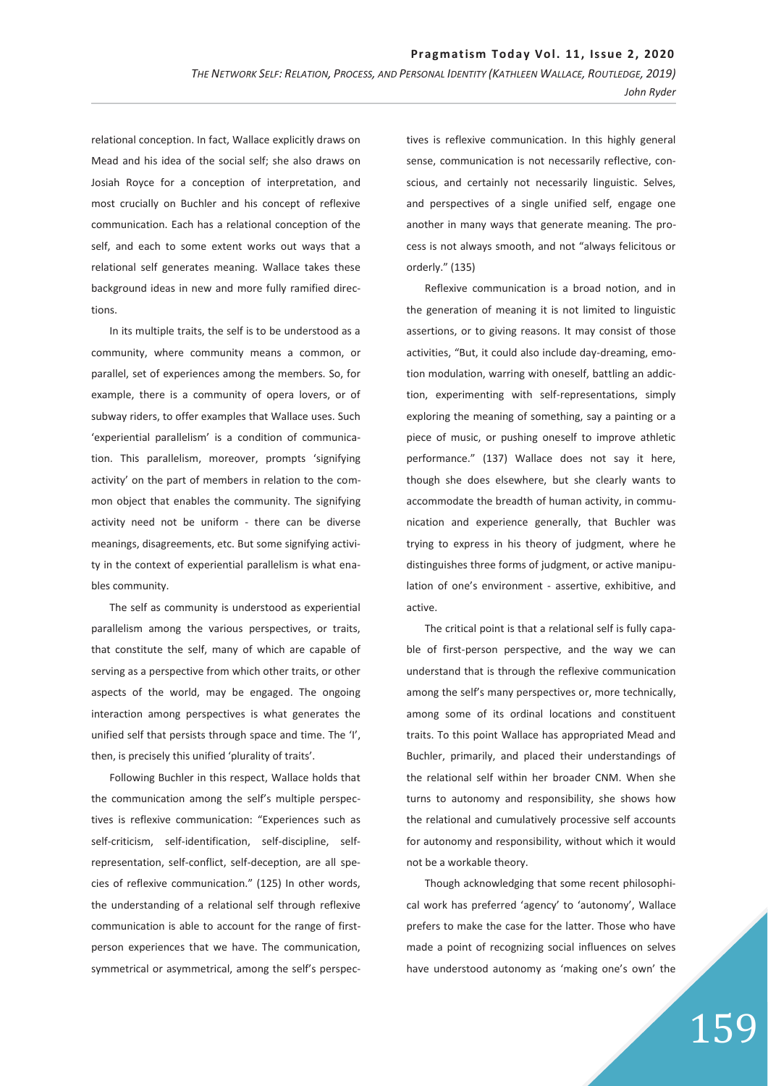relational conception. In fact, Wallace explicitly draws on Mead and his idea of the social self; she also draws on Josiah Royce for a conception of interpretation, and most crucially on Buchler and his concept of reflexive communication. Each has a relational conception of the self, and each to some extent works out ways that a relational self generates meaning. Wallace takes these background ideas in new and more fully ramified directions.

In its multiple traits, the self is to be understood as a community, where community means a common, or parallel, set of experiences among the members. So, for example, there is a community of opera lovers, or of subway riders, to offer examples that Wallace uses. Such 'experiential parallelism' is a condition of communication. This parallelism, moreover, prompts 'signifying activity' on the part of members in relation to the common object that enables the community. The signifying activity need not be uniform - there can be diverse meanings, disagreements, etc. But some signifying activity in the context of experiential parallelism is what enables community.

The self as community is understood as experiential parallelism among the various perspectives, or traits, that constitute the self, many of which are capable of serving as a perspective from which other traits, or other aspects of the world, may be engaged. The ongoing interaction among perspectives is what generates the unified self that persists through space and time. The 'I', then, is precisely this unified 'plurality of traits'.

Following Buchler in this respect, Wallace holds that the communication among the self's multiple perspectives is reflexive communication: "Experiences such as self-criticism, self-identification, self-discipline, selfrepresentation, self-conflict, self-deception, are all species of reflexive communication." (125) In other words, the understanding of a relational self through reflexive communication is able to account for the range of firstperson experiences that we have. The communication, symmetrical or asymmetrical, among the self's perspec-

tives is reflexive communication. In this highly general sense, communication is not necessarily reflective, conscious, and certainly not necessarily linguistic. Selves, and perspectives of a single unified self, engage one another in many ways that generate meaning. The process is not always smooth, and not "always felicitous or orderly." (135)

Reflexive communication is a broad notion, and in the generation of meaning it is not limited to linguistic assertions, or to giving reasons. It may consist of those activities, "But, it could also include day-dreaming, emotion modulation, warring with oneself, battling an addiction, experimenting with self-representations, simply exploring the meaning of something, say a painting or a piece of music, or pushing oneself to improve athletic performance." (137) Wallace does not say it here, though she does elsewhere, but she clearly wants to accommodate the breadth of human activity, in communication and experience generally, that Buchler was trying to express in his theory of judgment, where he distinguishes three forms of judgment, or active manipulation of one's environment - assertive, exhibitive, and active.

The critical point is that a relational self is fully capable of first-person perspective, and the way we can understand that is through the reflexive communication among the self's many perspectives or, more technically, among some of its ordinal locations and constituent traits. To this point Wallace has appropriated Mead and Buchler, primarily, and placed their understandings of the relational self within her broader CNM. When she turns to autonomy and responsibility, she shows how the relational and cumulatively processive self accounts for autonomy and responsibility, without which it would not be a workable theory.

Though acknowledging that some recent philosophical work has preferred 'agency' to 'autonomy', Wallace prefers to make the case for the latter. Those who have made a point of recognizing social influences on selves have understood autonomy as 'making one's own' the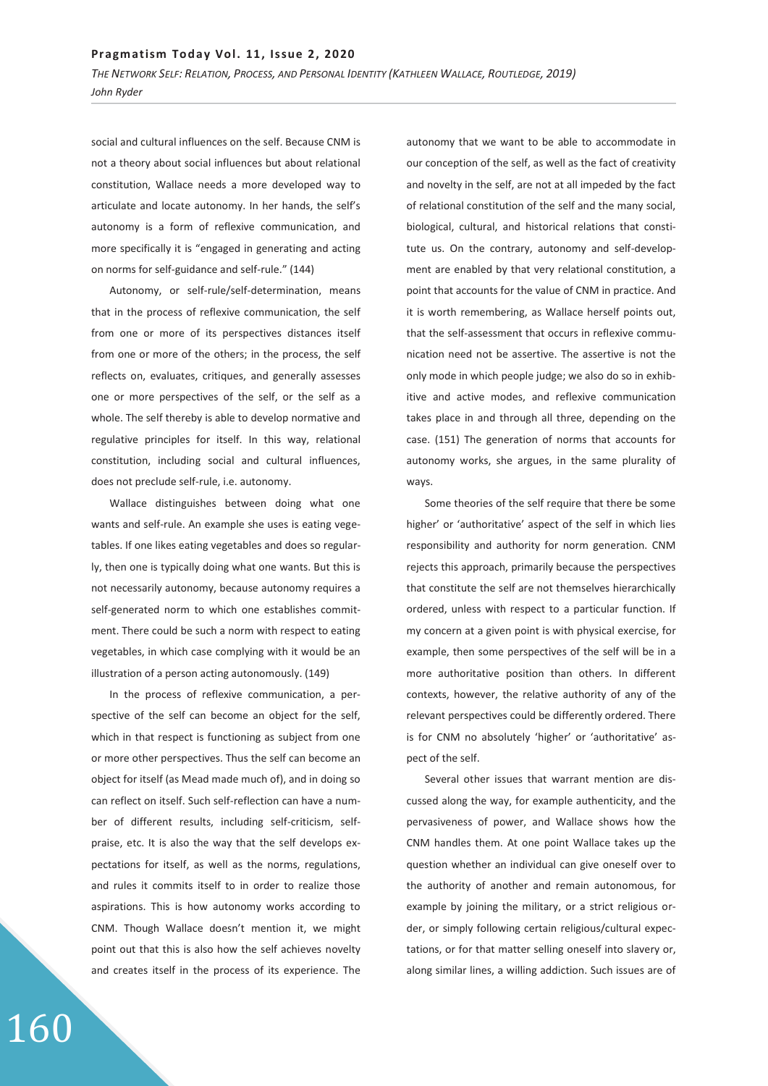social and cultural influences on the self. Because CNM is not a theory about social influences but about relational constitution, Wallace needs a more developed way to articulate and locate autonomy. In her hands, the self's autonomy is a form of reflexive communication, and more specifically it is "engaged in generating and acting on norms for self-guidance and self-rule." (144)

Autonomy, or self-rule/self-determination, means that in the process of reflexive communication, the self from one or more of its perspectives distances itself from one or more of the others; in the process, the self reflects on, evaluates, critiques, and generally assesses one or more perspectives of the self, or the self as a whole. The self thereby is able to develop normative and regulative principles for itself. In this way, relational constitution, including social and cultural influences, does not preclude self-rule, i.e. autonomy.

Wallace distinguishes between doing what one wants and self-rule. An example she uses is eating vegetables. If one likes eating vegetables and does so regularly, then one is typically doing what one wants. But this is not necessarily autonomy, because autonomy requires a self-generated norm to which one establishes commitment. There could be such a norm with respect to eating vegetables, in which case complying with it would be an illustration of a person acting autonomously. (149)

In the process of reflexive communication, a perspective of the self can become an object for the self, which in that respect is functioning as subject from one or more other perspectives. Thus the self can become an object for itself (as Mead made much of), and in doing so can reflect on itself. Such self-reflection can have a number of different results, including self-criticism, selfpraise, etc. It is also the way that the self develops expectations for itself, as well as the norms, regulations, and rules it commits itself to in order to realize those aspirations. This is how autonomy works according to CNM. Though Wallace doesn't mention it, we might point out that this is also how the self achieves novelty and creates itself in the process of its experience. The

autonomy that we want to be able to accommodate in our conception of the self, as well as the fact of creativity and novelty in the self, are not at all impeded by the fact of relational constitution of the self and the many social, biological, cultural, and historical relations that constitute us. On the contrary, autonomy and self-development are enabled by that very relational constitution, a point that accounts for the value of CNM in practice. And it is worth remembering, as Wallace herself points out, that the self-assessment that occurs in reflexive communication need not be assertive. The assertive is not the only mode in which people judge; we also do so in exhibitive and active modes, and reflexive communication takes place in and through all three, depending on the case. (151) The generation of norms that accounts for autonomy works, she argues, in the same plurality of ways.

Some theories of the self require that there be some higher' or 'authoritative' aspect of the self in which lies responsibility and authority for norm generation. CNM rejects this approach, primarily because the perspectives that constitute the self are not themselves hierarchically ordered, unless with respect to a particular function. If my concern at a given point is with physical exercise, for example, then some perspectives of the self will be in a more authoritative position than others. In different contexts, however, the relative authority of any of the relevant perspectives could be differently ordered. There is for CNM no absolutely 'higher' or 'authoritative' aspect of the self.

Several other issues that warrant mention are discussed along the way, for example authenticity, and the pervasiveness of power, and Wallace shows how the CNM handles them. At one point Wallace takes up the question whether an individual can give oneself over to the authority of another and remain autonomous, for example by joining the military, or a strict religious order, or simply following certain religious/cultural expectations, or for that matter selling oneself into slavery or, along similar lines, a willing addiction. Such issues are of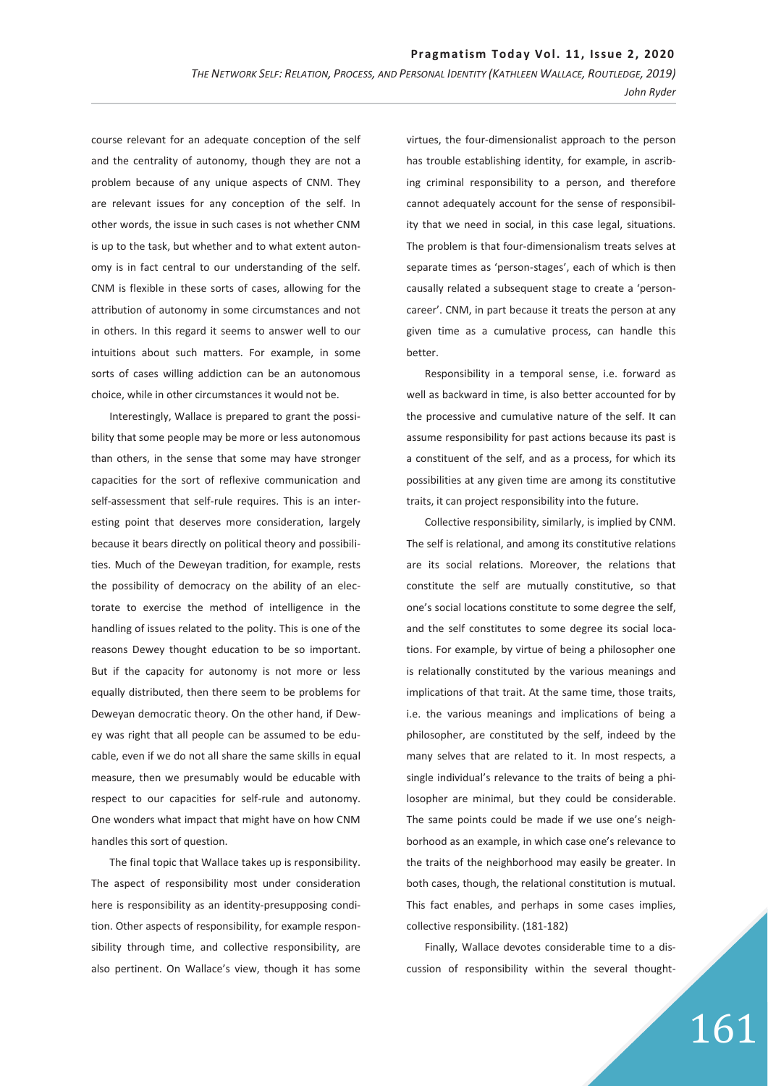course relevant for an adequate conception of the self and the centrality of autonomy, though they are not a problem because of any unique aspects of CNM. They are relevant issues for any conception of the self. In other words, the issue in such cases is not whether CNM is up to the task, but whether and to what extent autonomy is in fact central to our understanding of the self. CNM is flexible in these sorts of cases, allowing for the attribution of autonomy in some circumstances and not in others. In this regard it seems to answer well to our intuitions about such matters. For example, in some sorts of cases willing addiction can be an autonomous choice, while in other circumstances it would not be.

Interestingly, Wallace is prepared to grant the possibility that some people may be more or less autonomous than others, in the sense that some may have stronger capacities for the sort of reflexive communication and self-assessment that self-rule requires. This is an interesting point that deserves more consideration, largely because it bears directly on political theory and possibilities. Much of the Deweyan tradition, for example, rests the possibility of democracy on the ability of an electorate to exercise the method of intelligence in the handling of issues related to the polity. This is one of the reasons Dewey thought education to be so important. But if the capacity for autonomy is not more or less equally distributed, then there seem to be problems for Deweyan democratic theory. On the other hand, if Dewey was right that all people can be assumed to be educable, even if we do not all share the same skills in equal measure, then we presumably would be educable with respect to our capacities for self-rule and autonomy. One wonders what impact that might have on how CNM handles this sort of question.

The final topic that Wallace takes up is responsibility. The aspect of responsibility most under consideration here is responsibility as an identity-presupposing condition. Other aspects of responsibility, for example responsibility through time, and collective responsibility, are also pertinent. On Wallace's view, though it has some

virtues, the four-dimensionalist approach to the person has trouble establishing identity, for example, in ascribing criminal responsibility to a person, and therefore cannot adequately account for the sense of responsibility that we need in social, in this case legal, situations. The problem is that four-dimensionalism treats selves at separate times as 'person-stages', each of which is then causally related a subsequent stage to create a 'personcareer'. CNM, in part because it treats the person at any given time as a cumulative process, can handle this better.

Responsibility in a temporal sense, i.e. forward as well as backward in time, is also better accounted for by the processive and cumulative nature of the self. It can assume responsibility for past actions because its past is a constituent of the self, and as a process, for which its possibilities at any given time are among its constitutive traits, it can project responsibility into the future.

Collective responsibility, similarly, is implied by CNM. The self is relational, and among its constitutive relations are its social relations. Moreover, the relations that constitute the self are mutually constitutive, so that one's social locations constitute to some degree the self, and the self constitutes to some degree its social locations. For example, by virtue of being a philosopher one is relationally constituted by the various meanings and implications of that trait. At the same time, those traits, i.e. the various meanings and implications of being a philosopher, are constituted by the self, indeed by the many selves that are related to it. In most respects, a single individual's relevance to the traits of being a philosopher are minimal, but they could be considerable. The same points could be made if we use one's neighborhood as an example, in which case one's relevance to the traits of the neighborhood may easily be greater. In both cases, though, the relational constitution is mutual. This fact enables, and perhaps in some cases implies, collective responsibility. (181-182)

Finally, Wallace devotes considerable time to a discussion of responsibility within the several thought